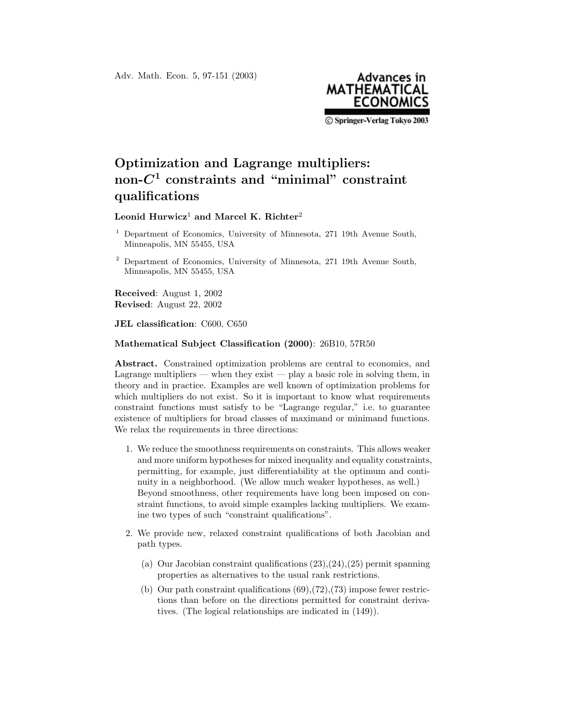Adv. Math. Econ. 5, 97-151 (2003)



C Springer-Verlag Tokyo 2003

## **Optimization and Lagrange multipliers: non-***C***<sup>1</sup> constraints and "minimal" constraint qualifications**

## **Leonid Hurwicz**1 **and Marcel K. Richter**2

- <sup>1</sup> Department of Economics, University of Minnesota, 271 19th Avenue South, Minneapolis, MN 55455, USA
- <sup>2</sup> Department of Economics, University of Minnesota, 271 19th Avenue South, Minneapolis, MN 55455, USA

**Received**: August 1, 2002 **Revised**: August 22, 2002

**JEL classification**: C600, C650

## **Mathematical Subject Classification (2000)**: 26B10, 57R50

**Abstract.** Constrained optimization problems are central to economics, and Lagrange multipliers — when they exist — play a basic role in solving them, in theory and in practice. Examples are well known of optimization problems for which multipliers do not exist. So it is important to know what requirements constraint functions must satisfy to be "Lagrange regular," i.e. to guarantee existence of multipliers for broad classes of maximand or minimand functions. We relax the requirements in three directions:

- 1. We reduce the smoothness requirements on constraints. This allows weaker and more uniform hypotheses for mixed inequality and equality constraints, permitting, for example, just differentiability at the optimum and continuity in a neighborhood. (We allow much weaker hypotheses, as well.) Beyond smoothness, other requirements have long been imposed on constraint functions, to avoid simple examples lacking multipliers. We examine two types of such "constraint qualifications".
- 2. We provide new, relaxed constraint qualifications of both Jacobian and path types.
	- (a) Our Jacobian constraint qualifications (23),(24),(25) permit spanning properties as alternatives to the usual rank restrictions.
	- (b) Our path constraint qualifications  $(69)$ , $(72)$ , $(73)$  impose fewer restrictions than before on the directions permitted for constraint derivatives. (The logical relationships are indicated in (149)).